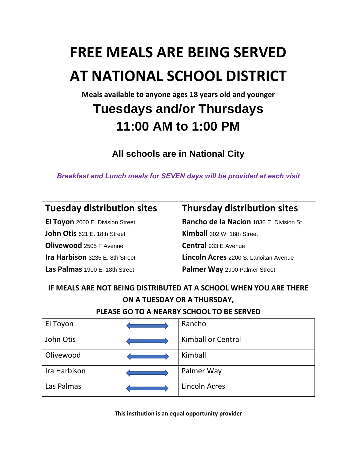# **FREE MEALS ARE BEING SERVED AT NATIONAL SCHOOL DISTRICT**

**Meals available to anyone ages 18 years old and younger** 

## **Tuesdays and/or Thursdays 11:00 AM to 1:00 PM**

**All schools are in National City** 

*Breakfast and Lunch meals for SEVEN days will be provided at each visit* 

| Tuesday distribution sites              | <b>Thursday distribution sites</b>       |
|-----------------------------------------|------------------------------------------|
| <b>El Toyon</b> 2000 E. Division Street | Rancho de la Nacion 1830 E. Division St. |
| John Otis 621 E. 18th Street            | Kimball 302 W. 18th Street               |
| Olivewood 2505 F Avenue                 | Central 933 E Avenue                     |
| Ira Harbison 3235 E. 8th Street         | Lincoln Acres 2200 S. Lanoitan Avenue    |
| Las Palmas 1900 E. 18th Street          | Palmer Way 2900 Palmer Street            |

**IF MEALS ARE NOT BEING DISTRIBUTED AT A SCHOOL WHEN YOU ARE THERE ON A TUESDAY OR A THURSDAY,** 

**PLEASE GO TO A NEARBY SCHOOL TO BE SERVED**

| El Toyon     | Rancho                    |
|--------------|---------------------------|
| John Otis    | <b>Kimball or Central</b> |
| Olivewood    | Kimball                   |
| Ira Harbison | Palmer Way                |
| Las Palmas   | <b>Lincoln Acres</b>      |

**This institution is an equal opportunity provider**